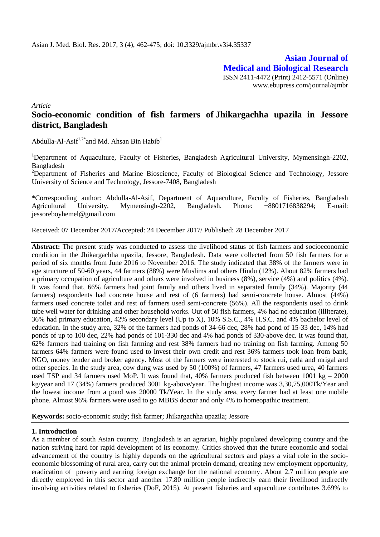**Asian Journal of Medical and Biological Research** ISSN 2411-4472 (Print) 2412-5571 (Online) www.ebupress.com/journal/ajmbr

*Article*

# **Socio-economic condition of fish farmers of Jhikargachha upazila in Jessore district, Bangladesh**

Abdulla-Al-Asif<sup>1,2\*</sup> and Md. Ahsan Bin Habib<sup>1</sup>

<sup>1</sup>Department of Aquaculture, Faculty of Fisheries, Bangladesh Agricultural University, Mymensingh-2202, Bangladesh

<sup>2</sup>Department of Fisheries and Marine Bioscience, Faculty of Biological Science and Technology, Jessore University of Science and Technology, Jessore-7408, Bangladesh

\*Corresponding author: Abdulla-Al-Asif, Department of Aquaculture, Faculty of Fisheries, Bangladesh Agricultural University, Mymensingh-2202, Bangladesh. Phone: +8801716838294; E-mail: jessoreboyhemel@gmail.com

Received: 07 December 2017/Accepted: 24 December 2017/ Published: 28 December 2017

**Abstract:** The present study was conducted to assess the livelihood status of fish farmers and socioeconomic condition in the Jhikargachha upazila, Jessore, Bangladesh. Data were collected from 50 fish farmers for a period of six months from June 2016 to November 2016. The study indicated that 38% of the farmers were in age structure of 50-60 years, 44 farmers (88%) were Muslims and others Hindu (12%). About 82% farmers had a primary occupation of agriculture and others were involved in business (8%), service (4%) and politics (4%). It was found that, 66% farmers had joint family and others lived in separated family (34%). Majority (44 farmers) respondents had concrete house and rest of (6 farmers) had semi-concrete house. Almost (44%) farmers used concrete toilet and rest of farmers used semi-concrete (56%). All the respondents used to drink tube well water for drinking and other household works. Out of 50 fish farmers, 4% had no education (illiterate), 36% had primary education, 42% secondary level (Up to X), 10% S.S.C., 4% H.S.C. and 4% bachelor level of education. In the study area, 32% of the farmers had ponds of 34-66 dec, 28% had pond of 15-33 dec, 14% had ponds of up to 100 dec, 22% had ponds of 101-330 dec and 4% had ponds of 330-above dec. It was found that, 62% farmers had training on fish farming and rest 38% farmers had no training on fish farming. Among 50 farmers 64% farmers were found used to invest their own credit and rest 36% farmers took loan from bank, NGO, money lender and broker agency. Most of the farmers were interested to stock rui, catla and mrigal and other species. In the study area, cow dung was used by 50 (100%) of farmers, 47 farmers used urea, 40 farmers used TSP and 34 farmers used MoP. It was found that,  $40\%$  farmers produced fish between 1001 kg – 2000 kg/year and 17 (34%) farmers produced 3001 kg-above/year. The highest income was 3,30,75,000Tk/Year and the lowest income from a pond was 20000 Tk/Year. In the study area, every farmer had at least one mobile phone. Almost 96% farmers were used to go MBBS doctor and only 4% to homeopathic treatment.

**Keywords:** socio-economic study; fish farmer; Jhikargachha upazila; Jessore

## **1. Introduction**

As a member of south Asian country, Bangladesh is an agrarian, highly populated developing country and the nation striving hard for rapid development of its economy. Critics showed that the future economic and social advancement of the country is highly depends on the agricultural sectors and plays a vital role in the socioeconomic blossoming of rural area, carry out the animal protein demand, creating new employment opportunity, eradication of poverty and earning foreign exchange for the national economy. About 2.7 million people are directly employed in this sector and another 17.80 million people indirectly earn their livelihood indirectly involving activities related to fisheries (DoF, 2015). At present fisheries and aquaculture contributes 3.69% to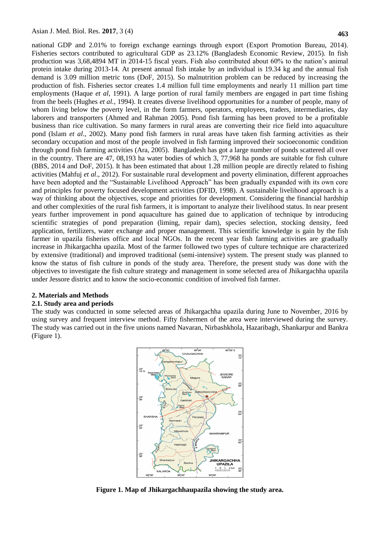national GDP and 2.01% to foreign exchange earnings through export (Export Promotion Bureau, 2014). Fisheries sectors contributed to agricultural GDP as 23.12% (Bangladesh Economic Review, 2015). In fish production was 3,68,4894 MT in 2014-15 fiscal years. Fish also contributed about 60% to the nation's animal protein intake during 2013-14. At present annual fish intake by an individual is 19.34 kg and the annual fish demand is 3.09 million metric tons (DoF, 2015). So malnutrition problem can be reduced by increasing the production of fish. Fisheries sector creates 1.4 million full time employments and nearly 11 million part time employments (Haque *et al*, 1991). A large portion of rural family members are engaged in part time fishing from the beels (Hughes *et al.*, 1994). It creates diverse livelihood opportunities for a number of people, many of whom living below the poverty level, in the form farmers, operators, employees, traders, intermediaries, day laborers and transporters (Ahmed and Rahman 2005). Pond fish farming has been proved to be a profitable business than rice cultivation. So many farmers in rural areas are converting their rice field into aquaculture pond (Islam *et al*., 2002). Many pond fish farmers in rural areas have taken fish farming activities as their secondary occupation and most of the people involved in fish farming improved their socioeconomic condition through pond fish farming activities (Ara, 2005). Bangladesh has got a large number of ponds scattered all over in the country. There are 47, 08,193 ha water bodies of which 3, 77,968 ha ponds are suitable for fish culture (BBS, 2014 and DoF, 2015). It has been estimated that about 1.28 million people are directly related to fishing activities (Mahfuj *et al*., 2012). For sustainable rural development and poverty elimination, different approaches have been adopted and the "Sustainable Livelihood Approach" has been gradually expanded with its own core and principles for poverty focused development activities (DFID, 1998). A sustainable livelihood approach is a way of thinking about the objectives, scope and priorities for development. Considering the financial hardship and other complexities of the rural fish farmers, it is important to analyze their livelihood status. In near present years further improvement in pond aquaculture has gained due to application of technique by introducing scientific strategies of pond preparation (liming, repair dam), species selection, stocking density, feed application, fertilizers, water exchange and proper management. This scientific knowledge is gain by the fish farmer in upazila fisheries office and local NGOs. In the recent year fish farming activities are gradually increase in Jhikargachha upazila. Most of the farmer followed two types of culture technique are characterized by extensive (traditional) and improved traditional (semi-intensive) system. The present study was planned to know the status of fish culture in ponds of the study area. Therefore, the present study was done with the objectives to investigate the fish culture strategy and management in some selected area of Jhikargachha upazila under Jessore district and to know the socio-economic condition of involved fish farmer.

## **2. Materials and Methods**

#### **2.1. Study area and periods**

The study was conducted in some selected areas of Jhikargachha upazila during June to November, 2016 by using survey and frequent interview method. Fifty fishermen of the area were interviewed during the survey. The study was carried out in the five unions named Navaran, Nirbashkhola, Hazaribagh, Shankarpur and Bankra (Figure 1).



**Figure 1. Map of Jhikargachhaupazila showing the study area.**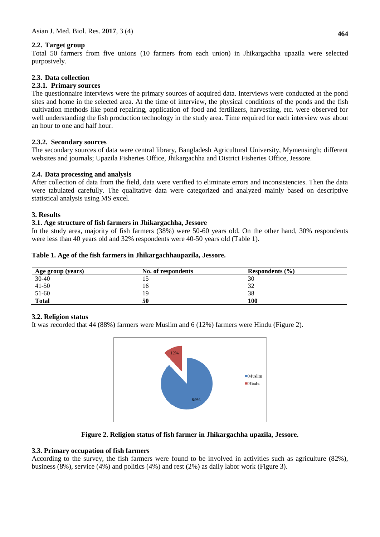# **2.2. Target group**

Total 50 farmers from five unions (10 farmers from each union) in Jhikargachha upazila were selected purposively.

# **2.3. Data collection**

## **2.3.1. Primary sources**

The questionnaire interviews were the primary sources of acquired data. Interviews were conducted at the pond sites and home in the selected area. At the time of interview, the physical conditions of the ponds and the fish cultivation methods like pond repairing, application of food and fertilizers, harvesting, etc. were observed for well understanding the fish production technology in the study area. Time required for each interview was about an hour to one and half hour.

#### **2.3.2. Secondary sources**

The secondary sources of data were central library, Bangladesh Agricultural University, Mymensingh; different websites and journals; Upazila Fisheries Office, Jhikargachha and District Fisheries Office, Jessore.

## **2.4. Data processing and analysis**

After collection of data from the field, data were verified to eliminate errors and inconsistencies. Then the data were tabulated carefully. The qualitative data were categorized and analyzed mainly based on descriptive statistical analysis using MS excel.

#### **3. Results**

## **3.1. Age structure of fish farmers in Jhikargachha, Jessore**

In the study area, majority of fish farmers (38%) were 50-60 years old. On the other hand, 30% respondents were less than 40 years old and 32% respondents were 40-50 years old (Table 1).

| Table 1. Age of the fish farmers in Jhikargachhaupazila, Jessore. |  |  |  |  |  |  |
|-------------------------------------------------------------------|--|--|--|--|--|--|
|-------------------------------------------------------------------|--|--|--|--|--|--|

| Age group (years) | No. of respondents | Respondents $(\% )$ |  |
|-------------------|--------------------|---------------------|--|
| $30 - 40$         | ⊥ J                | 30                  |  |
| $41 - 50$         | 16                 | 32                  |  |
| 51-60             | 19                 | 38                  |  |
| <b>Total</b>      | 50                 | 100                 |  |

## **3.2. Religion status**

It was recorded that 44 (88%) farmers were Muslim and 6 (12%) farmers were Hindu (Figure 2).



## **Figure 2. Religion status of fish farmer in Jhikargachha upazila, Jessore.**

## **3.3. Primary occupation of fish farmers**

According to the survey, the fish farmers were found to be involved in activities such as agriculture (82%), business (8%), service (4%) and politics (4%) and rest (2%) as daily labor work (Figure 3).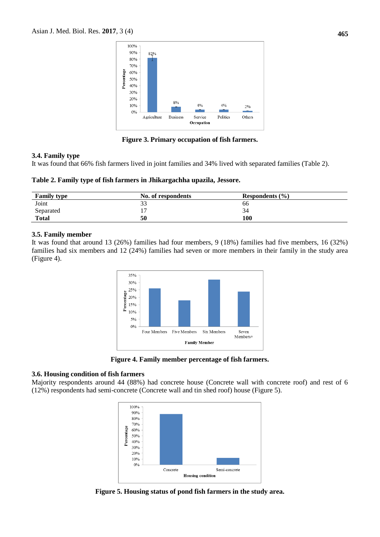

**Figure 3. Primary occupation of fish farmers.**

#### **3.4. Family type**

It was found that 66% fish farmers lived in joint families and 34% lived with separated families (Table 2).

**Table 2. Family type of fish farmers in Jhikargachha upazila, Jessore.**

| <b>Family type</b> | No. of respondents | Respondents $(\% )$ |
|--------------------|--------------------|---------------------|
| Joint              | ∍∼<br>JJ           | 66                  |
| Separated          | . .                | 34                  |
| <b>Total</b>       | 50                 | 100                 |

## **3.5. Family member**

It was found that around 13 (26%) families had four members, 9 (18%) families had five members, 16 (32%) families had six members and 12 (24%) families had seven or more members in their family in the study area (Figure 4).



**Figure 4. Family member percentage of fish farmers.**

# **3.6. Housing condition of fish farmers**

Majority respondents around 44 (88%) had concrete house (Concrete wall with concrete roof) and rest of 6 (12%) respondents had semi-concrete (Concrete wall and tin shed roof) house (Figure 5).



**Figure 5. Housing status of pond fish farmers in the study area.**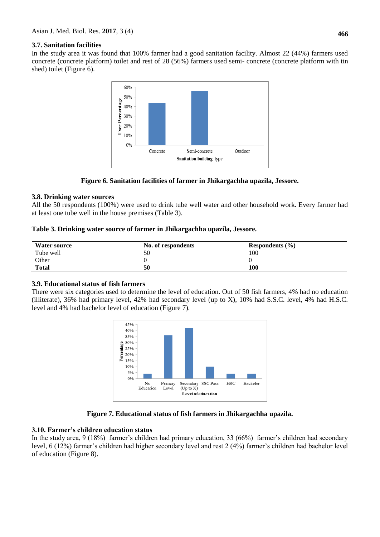In the study area it was found that 100% farmer had a good sanitation facility. Almost 22 (44%) farmers used concrete (concrete platform) toilet and rest of 28 (56%) farmers used semi- concrete (concrete platform with tin shed) toilet (Figure 6).



**Figure 6. Sanitation facilities of farmer in Jhikargachha upazila, Jessore.**

# **3.8. Drinking water sources**

All the 50 respondents (100%) were used to drink tube well water and other household work. Every farmer had at least one tube well in the house premises (Table 3).

# **Table 3. Drinking water source of farmer in Jhikargachha upazila, Jessore.**

| <b>Water source</b> | No. of respondents | Respondents $(\% )$ |
|---------------------|--------------------|---------------------|
| Tube well           | 50                 | 100                 |
| Other               |                    |                     |
| <b>Total</b>        | 50                 | 100                 |

# **3.9. Educational status of fish farmers**

There were six categories used to determine the level of education. Out of 50 fish farmers, 4% had no education (illiterate), 36% had primary level, 42% had secondary level (up to X), 10% had S.S.C. level, 4% had H.S.C. level and 4% had bachelor level of education (Figure 7).



# **Figure 7. Educational status of fish farmers in Jhikargachha upazila.**

## **3.10. Farmer's children education status**

In the study area, 9 (18%) farmer's children had primary education, 33 (66%) farmer's children had secondary level, 6 (12%) farmer's children had higher secondary level and rest 2 (4%) farmer's children had bachelor level of education (Figure 8).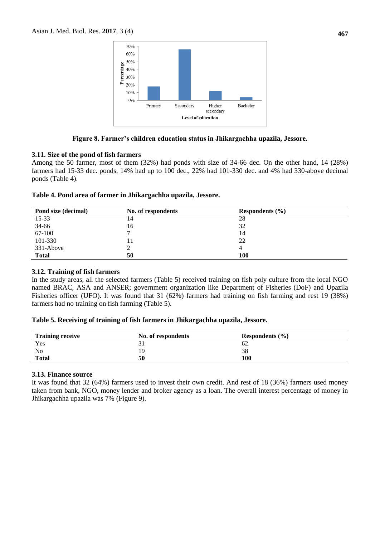

# **Figure 8. Farmer's children education status in Jhikargachha upazila, Jessore.**

## **3.11. Size of the pond of fish farmers**

Among the 50 farmer, most of them (32%) had ponds with size of 34-66 dec. On the other hand, 14 (28%) farmers had 15-33 dec. ponds, 14% had up to 100 dec., 22% had 101-330 dec. and 4% had 330-above decimal ponds (Table 4).

## **Table 4. Pond area of farmer in Jhikargachha upazila, Jessore.**

| Pond size (decimal) | No. of respondents | Respondents $(\% )$ |  |
|---------------------|--------------------|---------------------|--|
| $15 - 33$           | 14                 | 28                  |  |
| 34-66               | 16                 | 32                  |  |
| 67-100              |                    | 14                  |  |
| 101-330             |                    | 22                  |  |
| 331-Above           |                    |                     |  |
| <b>Total</b>        | 50                 | 100                 |  |

## **3.12. Training of fish farmers**

In the study areas, all the selected farmers (Table 5) received training on fish poly culture from the local NGO named BRAC, ASA and ANSER; government organization like Department of Fisheries (DoF) and Upazila Fisheries officer (UFO). It was found that 31 (62%) farmers had training on fish farming and rest 19 (38%) farmers had no training on fish farming (Table 5).

## **Table 5. Receiving of training of fish farmers in Jhikargachha upazila, Jessore.**

| <b>Training receive</b> | No. of respondents | Respondents $(\% )$ |  |
|-------------------------|--------------------|---------------------|--|
| Yes                     |                    | OΖ                  |  |
| N <sub>0</sub>          | 19                 | 38                  |  |
| <b>Total</b>            | 50                 | 100                 |  |

## **3.13. Finance source**

It was found that 32 (64%) farmers used to invest their own credit. And rest of 18 (36%) farmers used money taken from bank, NGO, money lender and broker agency as a loan. The overall interest percentage of money in Jhikargachha upazila was 7% (Figure 9).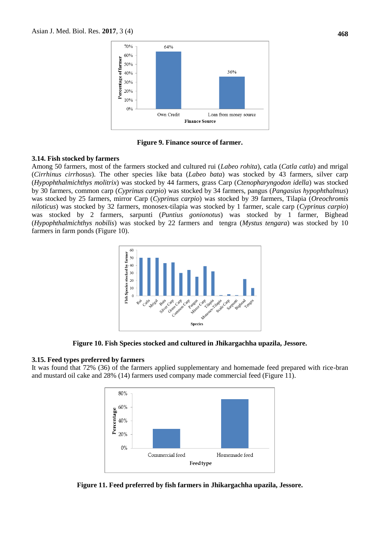

**Figure 9. Finance source of farmer.**

#### **3.14. Fish stocked by farmers**

Among 50 farmers, most of the farmers stocked and cultured rui (*Labeo rohita*), catla (*Catla catla*) and mrigal (*Cirrhinus cirrhosus*). The other species like bata (*Labeo bata*) was stocked by 43 farmers, silver carp (*Hypophthalmichthys molitrix*) was stocked by 44 farmers, grass Carp (*Ctenopharyngodon idella*) was stocked by 30 farmers, common carp (*Cyprinus carpio*) was stocked by 34 farmers, pangus (*Pangasius hypophthalmus*) was stocked by 25 farmers, mirror Carp (*Cyprinus carpio*) was stocked by 39 farmers, Tilapia (*Oreochromis niloticus*) was stocked by 32 farmers, monosex-tilapia was stocked by 1 farmer, scale carp (*Cyprinus carpio*) was stocked by 2 farmers, sarpunti (*[Puntius gonionotus](http://scialert.net/abstract/?doi=pjbs.2005.386.395)*) was stocked by 1 farmer, Bighead (*Hypophthalmichthys nobilis*) was stocked by 22 farmers and tengra (*Mystus tengara*) was stocked by 10 farmers in farm ponds (Figure 10).



**Figure 10. Fish Species stocked and cultured in Jhikargachha upazila, Jessore.**

#### **3.15. Feed types preferred by farmers**

It was found that 72% (36) of the farmers applied supplementary and homemade feed prepared with rice-bran and mustard oil cake and 28% (14) farmers used company made commercial feed (Figure 11).



**Figure 11. Feed preferred by fish farmers in Jhikargachha upazila, Jessore.**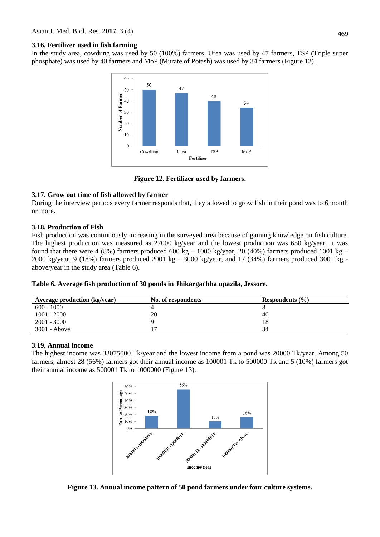#### **3.16. Fertilizer used in fish farming**

In the study area, cowdung was used by 50 (100%) farmers. Urea was used by 47 farmers, TSP (Triple super phosphate) was used by 40 farmers and MoP (Murate of Potash) was used by 34 farmers (Figure 12).



**Figure 12. Fertilizer used by farmers.**

# **3.17. Grow out time of fish allowed by farmer**

During the interview periods every farmer responds that, they allowed to grow fish in their pond was to 6 month or more.

# **3.18. Production of Fish**

Fish production was continuously increasing in the surveyed area because of gaining knowledge on fish culture. The highest production was measured as 27000 kg/year and the lowest production was 650 kg/year. It was found that there were 4 (8%) farmers produced 600 kg  $-$  1000 kg/year, 20 (40%) farmers produced 1001 kg  $-$ 2000 kg/year, 9 (18%) farmers produced 2001 kg – 3000 kg/year, and 17 (34%) farmers produced 3001 kg above/year in the study area (Table 6).

|  | Table 6. Average fish production of 30 ponds in Jhikargachha upazila, Jessore. |
|--|--------------------------------------------------------------------------------|
|--|--------------------------------------------------------------------------------|

| <b>Average production (kg/year)</b> | No. of respondents | Respondents $(\% )$ |
|-------------------------------------|--------------------|---------------------|
| $600 - 1000$                        |                    |                     |
| $1001 - 2000$                       | 20                 | 40                  |
| $2001 - 3000$                       |                    |                     |
| $3001 - Above$                      |                    | 34                  |

## **3.19. Annual income**

The highest income was 33075000 Tk/year and the lowest income from a pond was 20000 Tk/year. Among 50 farmers, almost 28 (56%) farmers got their annual income as 100001 Tk to 500000 Tk and 5 (10%) farmers got their annual income as 500001 Tk to 1000000 (Figure 13).



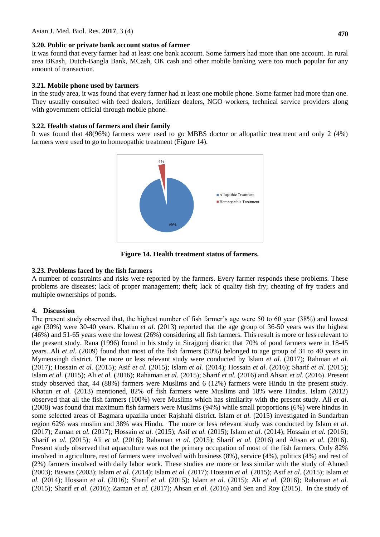#### **3.20. Public or private bank account status of farmer**

It was found that every farmer had at least one bank account. Some farmers had more than one account. In rural area BKash, Dutch-Bangla Bank, MCash, OK cash and other mobile banking were too much popular for any amount of transaction.

## **3.21. Mobile phone used by farmers**

In the study area, it was found that every farmer had at least one mobile phone. Some farmer had more than one. They usually consulted with feed dealers, fertilizer dealers, NGO workers, technical service providers along with government official through mobile phone.

#### **3.22. Health status of farmers and their family**

It was found that 48(96%) farmers were used to go MBBS doctor or allopathic treatment and only 2 (4%) farmers were used to go to homeopathic treatment (Figure 14).



**Figure 14. Health treatment status of farmers.**

## **3.23. Problems faced by the fish farmers**

A number of constraints and risks were reported by the farmers. Every farmer responds these problems. These problems are diseases; lack of proper management; theft; lack of quality fish fry; cheating of fry traders and multiple ownerships of ponds.

## **4. Discussion**

The present study observed that, the highest number of fish farmer's age were 50 to 60 year (38%) and lowest age (30%) were 30-40 years. Khatun *et al.* (2013) reported that the age group of 36-50 years was the highest (46%) and 51-65 years were the lowest (26%) considering all fish farmers. This result is more or less relevant to the present study. Rana (1996) found in his study in Sirajgonj district that 70% of pond farmers were in 18-45 years. Ali *et al.* (2009) found that most of the fish farmers (50%) belonged to age group of 31 to 40 years in Mymensingh district. The more or less relevant study were conducted by Islam *et al.* (2017); Rahman *et al.* (2017); Hossain *et al.* (2015); Asif *et al.* (2015); Islam *et al.* (2014); Hossain *et al.* (2016); Sharif *et al.* (2015); Islam *et al.* (2015); Ali *et al.* (2016); Rahaman *et al.* (2015); Sharif *et al.* (2016) and Ahsan *et al.* (2016). Present study observed that, 44 (88%) farmers were Muslims and 6 (12%) farmers were Hindu in the present study. Khatun *et al.* (2013) mentioned, 82% of fish farmers were Muslims and 18% were Hindus. Islam (2012) observed that all the fish farmers (100%) were Muslims which has similarity with the present study. Ali *et al*. (2008) was found that maximum fish farmers were Muslims (94%) while small proportions (6%) were hindus in some selected areas of Bagmara upazilla under Rajshahi district. Islam *et al.* (2015) investigated in Sundarban region 62% was muslim and 38% was Hindu. The more or less relevant study was conducted by Islam *et al.* (2017); Zaman *et al.* (2017); Hossain *et al.* (2015); Asif *et al.* (2015); Islam *et al.* (2014); Hossain *et al.* (2016); Sharif *et al.* (2015); Ali *et al.* (2016); Rahaman *et al.* (2015); Sharif *et al.* (2016) and Ahsan *et al.* (2016). Present study observed that aquaculture was not the primary occupation of most of the fish farmers. Only 82% involved in agriculture, rest of farmers were involved with business (8%), service (4%), politics (4%) and rest of (2%) farmers involved with daily labor work. These studies are more or less similar with the study of Ahmed (2003); Biswas (2003); Islam *et al.* (2014); Islam *et al.* (2017); Hossain *et al.* (2015); Asif *et al.* (2015); Islam *et al.* (2014); Hossain *et al.* (2016); Sharif *et al.* (2015); Islam *et al.* (2015); Ali *et al.* (2016); Rahaman *et al.* (2015); Sharif *et al.* (2016); Zaman *et al.* (2017); Ahsan *et al.* (2016) and Sen and Roy (2015). In the study of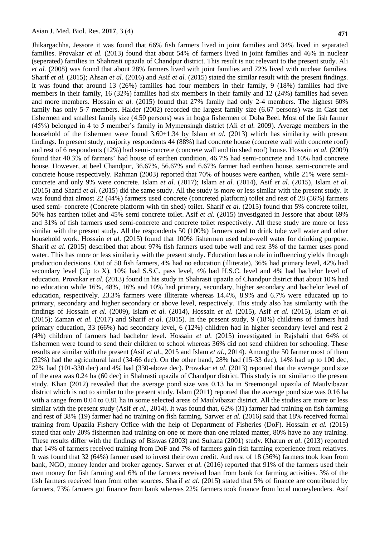Jhikargachha, Jessore it was found that 66% fish farmers lived in joint families and 34% lived in separated families. Provakar *et al.* (2013) found that about 54% of farmers lived in joint families and 46% in nuclear (seperated) families in Shahrasti upazila of Chandpur district. This result is not relevant to the present study. Ali *et al.* (2008) was found that about 28% farmers lived with joint families and 72% lived with nuclear families. Sharif *et al.* (2015); Ahsan *et al.* (2016) and Asif *et al.* (2015) stated the similar result with the present findings. It was found that around 13 (26%) families had four members in their family, 9 (18%) families had five members in their family, 16 (32%) families had six members in their family and 12 (24%) families had seven and more members. Hossain *et al.* (2015) found that 27% family had only 2-4 members. The highest 60% family has only 5-7 members. Halder (2002) recorded the largest family size (6.67 persons) was in Cast net fishermen and smallest family size (4.50 persons) was in hogra fishermen of Doba Beel. Most of the fish farmer (45%) belonged in 4 to 5 member's family in Mymensingh district (Ali *et al.* 2009). Average members in the household of the fishermen were found 3.60±1.34 by Islam *et al.* (2013) which has similarity with present findings. In present study, majority respondents 44 (88%) had concrete house (concrete wall with concrete roof) and rest of 6 respondents (12%) had semi-concrete (concrete wall and tin shed roof) house. Hossain *et al.* (2009) found that 40.3% of farmers' had house of earthen condition, 46.7% had semi-concrete and 10% had concrete house. However, at beel Chandpur, 36.67%, 56.67% and 6.67% farmer had earthen house, semi-concrete and concrete house respectively. Rahman (2003) reported that 70% of houses were earthen, while 21% were semiconcrete and only 9% were concrete. Islam *et al.* (2017); Islam *et al.* (2014), Asif *et al.* (2015), Islam *et al.*  (2015) and Sharif *et al.* (2015) did the same study. All the study is more or less similar with the present study. It was found that almost 22 (44%) farmers used concrete (concreted platform) toilet and rest of 28 (56%) farmers used semi- concrete (Concrete platform with tin shed) toilet. Sharif *et al.* (2015) found that 5% concrete toilet, 50% has earthen toilet and 45% semi concrete toilet. Asif *et al.* (2015) investigated in Jessore that about 69% and 31% of fish farmers used semi-concrete and concrete toilet respectively. All these study are more or less similar with the present study. All the respondents 50 (100%) farmers used to drink tube well water and other household work. Hossain *et al.* (2015) found that 100% fishermen used tube-well water for drinking purpose. Sharif *et al.* (2015) described that about 97% fish farmers used tube well and rest 3% of the farmer uses pond water. This has more or less similarity with the present study. Education has a role in influencing yields through production decisions. Out of 50 fish farmers, 4% had no education (illiterate), 36% had primary level, 42% had secondary level (Up to X), 10% had S.S.C. pass level, 4% had H.S.C. level and 4% had bachelor level of education. Provakar *et al.* (2013) found in his study in Shahrasti upazila of Chandpur district that about 10% had no education while 16%, 48%, 16% and 10% had primary, secondary, higher secondary and bachelor level of education, respectively. 23.3% farmers were illiterate whereas 14.4%, 8.9% and 6.7% were educated up to primary, secondary and higher secondary or above level, respectively. This study also has similarity with the findings of Hossain *et al.* (2009), Islam *et al.* (2014), Hossain *et al.* (2015), Asif *et al.* (2015), Islam *et al.*  (2015); Zaman *et al.* (2017) and Sharif *et al.* (2015). In the present study, 9 (18%) childrens of farmers had primary education, 33 (66%) had secondary level, 6 (12%) children had in higher secondary level and rest 2 (4%) children of farmers had bachelor level. Hossain *et al.* (2015) investigated in Rajshahi that 64% of fishermen were found to send their children to school whereas 36% did not send children for schooling. These results are similar with the present (Asif *et al.,* 2015 and Islam *et al.,* 2014). Among the 50 farmer most of them (32%) had the agricultural land (34-66 dec). On the other hand, 28% had (15-33 dec), 14% had up to 100 dec, 22% had (101-330 dec) and 4% had (330-above dec). Provakar *et al*. (2013) reported that the average pond size of the area was 0.24 ha (60 dec) in Shahrasti upazila of Chandpur district. This study is not similar to the present study. Khan (2012) revealed that the average pond size was 0.13 ha in Sreemongal upazila of Maulvibazar district which is not to similar to the present study. Islam (2011) reported that the average pond size was 0.16 ha with a range from 0.04 to 0.81 ha in some selected areas of Maulvibazar district. All the studies are more or less similar with the present study (Asif *et al.,* 2014). It was found that, 62% (31) farmer had training on fish farming and rest of 38% (19) farmer had no training on fish farming. Sarwer *et al.* (2016) said that 18% received formal training from Upazila Fishery Office with the help of Department of Fisheries (DoF). Hossain *et al.* (2015) stated that only 20% fishermen had training on one or more than one related matter, 80% have no any training. These results differ with the findings of Biswas (2003) and Sultana (2001) study. Khatun *et al*. (2013) reported that 14% of farmers received training from DoF and 7% of farmers gain fish farming experience from relatives. It was found that 32 (64%) farmer used to invest their own credit. And rest of 18 (36%) farmers took loan from bank, NGO, money lender and broker agency. Sarwer *et al.* (2016) reported that 91% of the farmers used their own money for fish farming and 6% of the farmers received loan from bank for farming activities. 3% of the fish farmers received loan from other sources. Sharif *et al.* (2015) stated that 5% of finance are contributed by farmers, 73% farmers got finance from bank whereas 22% farmers took finance from local moneylenders. Asif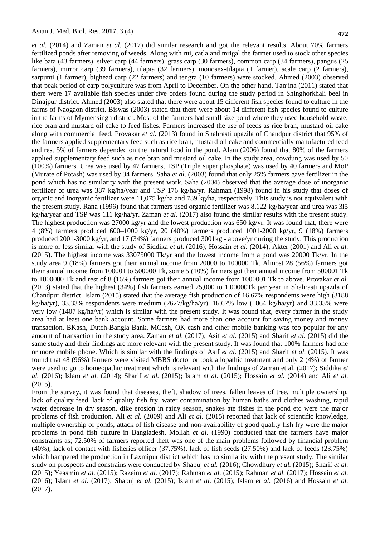*et al.* (2014) and Zaman *et al.* (2017) did similar research and got the relevant results. About 70% farmers fertilized ponds after removing of weeds. Along with rui, catla and mrigal the farmer used to stock other species like bata (43 farmers), silver carp (44 farmers), grass carp (30 farmers), common carp (34 farmers), pangus (25 farmers), mirror carp (39 farmers), tilapia (32 farmers), monosex-tilapia (1 farmer), scale carp (2 farmers), sarpunti (1 farmer), bighead carp (22 farmers) and tengra (10 farmers) were stocked. Ahmed (2003) observed that peak period of carp polyculture was from April to December. On the other hand, Tanjina (2011) stated that there were 17 available fish species under five orders found during the study period in Shinghorkhali beel in Dinajpur district. Ahmed (2003) also stated that there were about 15 different fish species found to culture in the farms of Naogaon district. Biswas (2003) stated that there were about 14 different fish species found to culture in the farms of Mymensingh district. Most of the farmers had small size pond where they used household waste, rice bran and mustard oil cake to feed fishes. Farmers increased the use of feeds as rice bran, mustard oil cake along with commercial feed. Provakar *et al.* (2013) found in Shahrasti upazila of Chandpur district that 95% of the farmers applied supplementary feed such as rice bran, mustard oil cake and commercially manufactured feed and rest 5% of farmers depended on the natural food in the pond. Alam (2006) found that 80% of the farmers applied supplementary feed such as rice bran and mustard oil cake. In the study area, cowdung was used by 50 (100%) farmers. Urea was used by 47 farmers, TSP (Triple super phosphate) was used by 40 farmers and MoP (Murate of Potash) was used by 34 farmers. Saha *et al*. (2003) found that only 25% farmers gave fertilizer in the pond which has no similarity with the present work. Saha (2004) observed that the average dose of inorganic fertilizer of urea was 387 kg/ha/year and TSP 176 kg/ha/yr. Rahman (1998) found in his study that doses of organic and inorganic fertilizer were 11,075 kg/ha and 739 kg/ha, respectively. This study is not equivalent with the present study. Rana (1996) found that farmers used organic fertilizer was 8,122 kg/ha/year and urea was 3l5 kg/ha/year and TSP was 111 kg/ha/yr. Zaman *et al.* (2017) also found the similar results with the present study. The highest production was 27000 kg/yr and the lowest production was 650 kg/yr. It was found that, there were 4 (8%) farmers produced 600–1000 kg/yr, 20 (40%) farmers produced 1001-2000 kg/yr, 9 (18%) farmers produced 2001-3000 kg/yr, and 17 (34%) farmers produced 3001kg - above/yr during the study. This production is more or less similar with the study of Siddika *et al.* (2016); Hossain *et al.* (2014); Akter (2001) and Ali *et al.* (2015). The highest income was 33075000 Tk/yr and the lowest income from a pond was 20000 Tk/yr. In the study area 9 (18%) farmers got their annual income from 20000 to 100000 Tk. Almost 28 (56%) farmers got their annual income from 100001 to 500000 Tk, some 5 (10%) farmers got their annual income from 500001 Tk to 1000000 Tk and rest of 8 (16%) farmers got their annual income from 1000001 Tk to above. Provakar *et al.*  (2013) stated that the highest (34%) fish farmers earned 75,000 to 1,00000Tk per year in Shahrasti upazila of Chandpur district. Islam (2015) stated that the average fish production of 16.67% respondents were high (3188 kg/ha/yr), 33.33% respondents were medium  $(2627/\text{kg/ha/yr})$ , 16.67% low  $(1864 \text{ kg/ha/yr})$  and 33.33% were very low (1407 kg/ha/yr) which is similar with the present study. It was found that, every farmer in the study area had at least one bank account. Some farmers had more than one account for saving money and money transaction. BKash, Dutch-Bangla Bank, MCash, OK cash and other mobile banking was too popular for any amount of transaction in the study area. Zaman *et al.* (2017); Asif *et al.* (2015) and Sharif *et al.* (2015) did the same study and their findings are more relevant with the present study. It was found that 100% farmers had one or more mobile phone. Which is similar with the findings of Asif *et al.* (2015) and Sharif *et al.* (2015). It was found that 48 (96%) farmers were visited MBBS doctor or took allopathic treatment and only 2 (4%) of farmer were used to go to homeopathic treatment which is relevant with the findings of Zaman et al. (2017); Siddika *et al.* (2016); Islam *et al.* (2014); Sharif *et al.* (2015); Islam *et al.* (2015); Hossain *et al.* (2014) and Ali *et al.* (2015).

From the survey, it was found that diseases, theft, shadow of trees, fallen leaves of tree, multiple ownership, lack of quality feed, lack of quality fish fry, water contamination by human baths and clothes washing, rapid water decrease in dry season, dike erosion in rainy season, snakes ate fishes in the pond etc were the major problems of fish production. Ali *et al.* (2009) and Ali *et al*. (2015) reported that lack of scientific knowledge, multiple ownership of ponds, attack of fish disease and non-availability of good quality fish fry were the major problems in pond fish culture in Bangladesh. Mollah *et al.* (1990) conducted that the farmers have major constraints as; 72.50% of farmers reported theft was one of the main problems followed by financial problem (40%), lack of contact with fisheries officer (37.75%), lack of fish seeds (27.50%) and lack of feeds (23.75%) which hampered the production in Laxmipur district which has no similarity with the present study. The similar study on prospects and constrains were conducted by Shabuj *et al.* (2016); Chowdhury *et al.* (2015); Sharif *et al.* (2015); Yeasmin *et al.* (2015); Razeim *et al.* (2017); Rahman *et al.* (2015); Rahman *et al.* (2017); Hossain *et al.* (2016); Islam *et al.* (2017); Shabuj *et al.* (2015); Islam *et al.* (2015); Islam *et al.* (2016) and Hossain *et al.* (2017).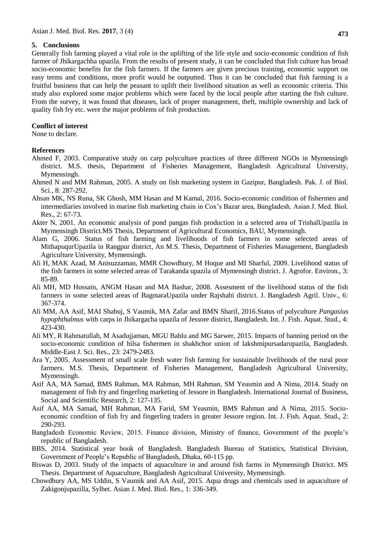#### **5. Conclusions**

Generally fish farming played a vital role in the uplifting of the life style and socio-economic condition of fish farmer of Jhikargachha upazila. From the results of present study, it can be concluded that fish culture has broad socio-economic benefits for the fish farmers. If the farmers are given precious training, economic support on easy terms and conditions, more profit would be outputted. Thus it can be concluded that fish farming is a fruitful business that can help the peasant to uplift their livelihood situation as well as economic criteria. This study also explored some major problems which were faced by the local people after starting the fish culture. From the survey, it was found that diseases, lack of proper management, theft, multiple ownership and lack of quality fish fry etc. were the major problems of fish production.

#### **Conflict of interest**

None to declare.

## **References**

- Ahmed F, 2003. Comparative study on carp polyculture practices of three different NGOs in Mymensingh district. M.S. thesis, Department of Fisheries Management, Bangladesh Agricultural University, Mymensingh.
- Ahmed N and MM Rahman, 2005. A study on fish marketing system in Gazipur, Bangladesh. Pak. J. of Biol. Sci., 8: 287-292.
- Ahsan MK, NS Runa, SK Ghosh, MM Hasan and M Kamal, 2016. Socio-economic condition of fishermen and intermediaries involved in marine fish marketing chain in Cox's Bazar area, Bangladesh. Asian J. Med. Biol. Res., 2: 67-73.
- Akter N, 2001. An economic analysis of pond pangas fish production in a selected area of TrishalUpazila in Mymensingh District.MS Thesis, Department of Agricultural Economics, BAU, Mymensingh.
- Alam G, 2006. Status of fish farming and livelihoods of fish farmers in some selected areas of MithapuqurUpazila in Rangpur district, An M.S. Thesis, Department of Fisheries Management, Bangladesh Agriculture University, Mymensingh.
- Ali H, MAK Azad, M Anisuzzaman, MMR Chowdhury, M Hoque and MI Sharful, 2009. Livelihood status of the fish farmers in some selected areas of Tarakanda upazila of Mymensingh district. J. Agrofor. Environ., 3: 85-89.
- Ali MH, MD Hossain, ANGM Hasan and MA Bashar, 2008. Assesment of the livelihood status of the fish farmers in some selected areas of BagmaraUpazila under Rajshahi district. J. Bangladesh Agril. Univ., 6: 367-374.
- Ali MM, AA Asif, MAI Shabuj, S Vaumik, MA Zafar and BMN Sharif, 2016.Status of polyculture *Pangasius hypophthalmus* with carps in Jhikargacha upazila of Jessore district, Bangladesh. Int. J. Fish. Aquat. Stud., 4: 423-430.
- Ali MY, R Rahmatullah, M Asadujjaman, MGU Bablu and MG Sarwer, 2015. Impacts of banning period on the socio-economic condition of hilsa fishermen in shakhchor union of lakshmipursadarupazila, Bangladesh. Middle-East J. Sci. Res., 23: 2479-2483.
- Ara Y, 2005. Assessment of small scale fresh water fish farming for sustainable livelihoods of the rural poor farmers. M.S. Thesis, Department of Fisheries Management, Bangladesh Agricultural University, Mymensingh.
- Asif AA, MA Samad, BMS Rahman, MA Rahman, MH Rahman, SM Yeasmin and A Nima, 2014. Study on management of fish fry and fingerling marketing of Jessore in Bangladesh. International Journal of Business, Social and Scientific Research, 2: 127-135.
- Asif AA, MA Samad, MH Rahman, MA Farid, SM Yeasmin, BMS Rahman and A Nima, 2015. Socioeconomic condition of fish fry and fingerling traders in greater Jessore region. Int. J. Fish. Aquat. Stud., 2: 290-293.
- Bangladesh Economic Review, 2015. Finance division, Ministry of finance, Government of the people's republic of Bangladesh.
- BBS, 2014. Statistical year book of Bangladesh. Bangladesh Bureau of Statistics, Statistical Division, Government of People's Republic of Bangladesh, Dhaka, 60-115 pp.
- Biswas D, 2003. Study of the impacts of aquaculture in and around fish farms in Mymensingh District. MS Thesis. Department of Aquaculture, Bangladesh Agricultural University, Mymensingh.
- Chowdhury AA, MS Uddin, S Vaumik and AA Asif, 2015. Aqua drugs and chemicals used in aquaculture of Zakigonjupazilla, Sylhet. Asian J. Med. Biol. Res., 1: 336-349.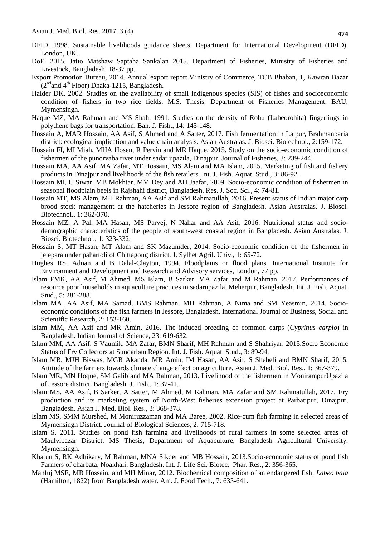- DFID, 1998. Sustainable livelihoods guidance sheets, Department for International Development (DFID), London, UK.
- DoF, 2015. Jatio Matshaw Saptaha Sankalan 2015. Department of Fisheries, Ministry of Fisheries and Livestock, Bangladesh, 18-37 pp.
- Export Promotion Bureau, 2014. Annual export report.Ministry of Commerce, TCB Bhaban, 1, Kawran Bazar  $(2<sup>nd</sup>$ and 4<sup>th</sup> Floor) Dhaka-1215, Bangladesh.
- Halder DK, 2002. Studies on the availability of small indigenous species (SIS) of fishes and socioeconomic condition of fishers in two rice fields. M.S. Thesis. Department of Fisheries Management, BAU, Mymensingh.
- Haque MZ, MA Rahman and MS Shah, 1991. Studies on the density of Rohu (Labeorohita) fingerlings in polythene bags for transportation. Ban. J. Fish., 14: 145-148.
- Hossain A, MAR Hossain, AA Asif, S Ahmed and A Satter, 2017. Fish fermentation in Lalpur, Brahmanbaria district: ecological implication and value chain analysis. Asian Australas. J. Biosci. Biotechnol., 2:159-172.
- Hossain FI, MI Miah, MHA Hosen, R Pervin and MR Haque, 2015. Study on the socio-economic condition of fishermen of the punorvaba river under sadar upazila, Dinajpur. Journal of Fisheries, 3: 239-244.
- Hossain MA, AA Asif, MA Zafar, MT Hossain, MS Alam and MA Islam, 2015. Marketing of fish and fishery products in Dinajpur and livelihoods of the fish retailers. Int. J. Fish. Aquat. Stud., 3: 86-92.
- Hossain MI, C Siwar, MB Mokhtar, MM Dey and AH Jaafar, 2009. Socio-economic condition of fishermen in seasonal floodplain beels in Rajshahi district, Bangladesh. Res. J. Soc. Sci., 4: 74-81.
- Hossain MT, MS Alam, MH Rahman, AA Asif and SM Rahmatullah, 2016. Present status of Indian major carp brood stock management at the hatcheries in Jessore region of Bangladesh. Asian Australas. J. Biosci. Biotechnol., 1: 362-370.
- Hossain MZ, A Pal, MA Hasan, MS Parvej, N Nahar and AA Asif, 2016. Nutritional status and sociodemographic characteristics of the people of south-west coastal region in Bangladesh. Asian Australas. J. Biosci. Biotechnol., 1: 323-332.
- Hossain S, MT Hasan, MT Alam and SK Mazumder, 2014. Socio-economic condition of the fishermen in jelepara under pahartoli of Chittagong district. J. Sylhet Agril. Univ., 1: 65-72.
- Hughes RS, Adnan and B Dalal-Clayton, 1994. Floodplains or flood plans. International Institute for Environment and Development and Research and Advisory services, London, 77 pp.
- Islam FMK, AA Asif, M Ahmed, MS Islam, B Sarker, MA Zafar and M Rahman, 2017. Performances of resource poor households in aquaculture practices in sadarupazila, Meherpur, Bangladesh. Int. J. Fish. Aquat. Stud., 5: 281-288.
- Islam MA, AA Asif, MA Samad, BMS Rahman, MH Rahman, A Nima and SM Yeasmin, 2014. Socioeconomic conditions of the fish farmers in Jessore, Bangladesh. International Journal of Business, Social and Scientific Research, 2: 153-160.
- Islam MM, AA Asif and MR Amin, 2016. The induced breeding of common carps (*Cyprinus carpio*) in Bangladesh. Indian Journal of Science, 23: 619-632.
- Islam MM, AA Asif, S Vaumik, MA Zafar, BMN Sharif, MH Rahman and S Shahriyar, 2015*.*Socio Economic Status of Fry Collectors at Sundarban Region. Int. J. Fish. Aquat. Stud., 3: 89-94.
- Islam MR, MJH Biswas, MGR Akanda, MR Amin, IM Hasan, AA Asif, S Sheheli and BMN Sharif, 2015. Attitude of the farmers towards climate change effect on agriculture. Asian J. Med. Biol. Res., 1: 367-379.
- Islam MR, MN Hoque, SM Galib and MA Rahman, 2013. Livelihood of the fishermen in MonirampurUpazila of Jessore district. Bangladesh. J. Fish., 1: 37-41.
- Islam MS, AA Asif, B Sarker, A Satter, M Ahmed, M Rahman, MA Zafar and SM Rahmatullah, 2017. Fry production and its marketing system of North-West fisheries extension project at Parbatipur, Dinajpur, Bangladesh. Asian J. Med. Biol. Res., 3: 368-378.
- Islam MS, SMM Murshed, M Moniruzzaman and MA Baree, 2002. Rice-cum fish farming in selected areas of Mymensingh District. Journal of Biological Sciences, 2: 715-718.
- Islam S, 2011. Studies on pond fish farming and livelihoods of rural farmers in some selected areas of Maulvibazar District. MS Thesis, Department of Aquaculture, Bangladesh Agricultural University, Mymensingh.
- Khatun S, RK Adhikary, M Rahman, MNA Sikder and MB Hossain, 2013.Socio-economic status of pond fish Farmers of charbata, Noakhali, Bangladesh. Int. J. Life Sci. Biotec. Phar. Res., 2: 356-365.
- Mahfuj MSE, MB Hossain, and MH Minar, 2012. Biochemical composition of an endangered fish, *Labeo bata*  (Hamilton, 1822) from Bangladesh water. Am. J. Food Tech., 7: 633-641.